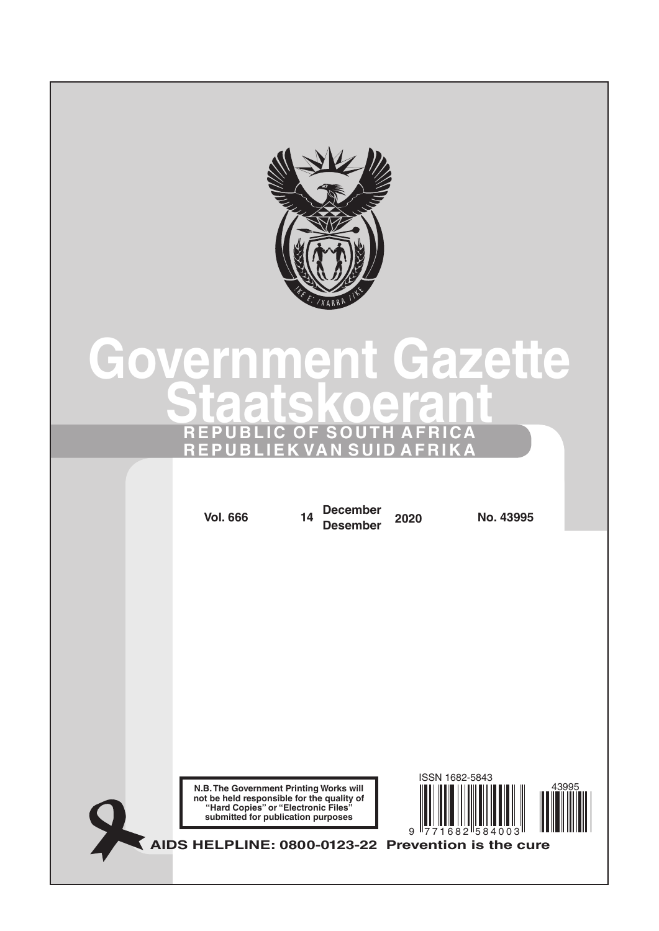

# **Government Gazette Staatskoerant REPUBLIC OF SOUTH AFRICA REPUBLIEK VAN SUID AFRIKA**

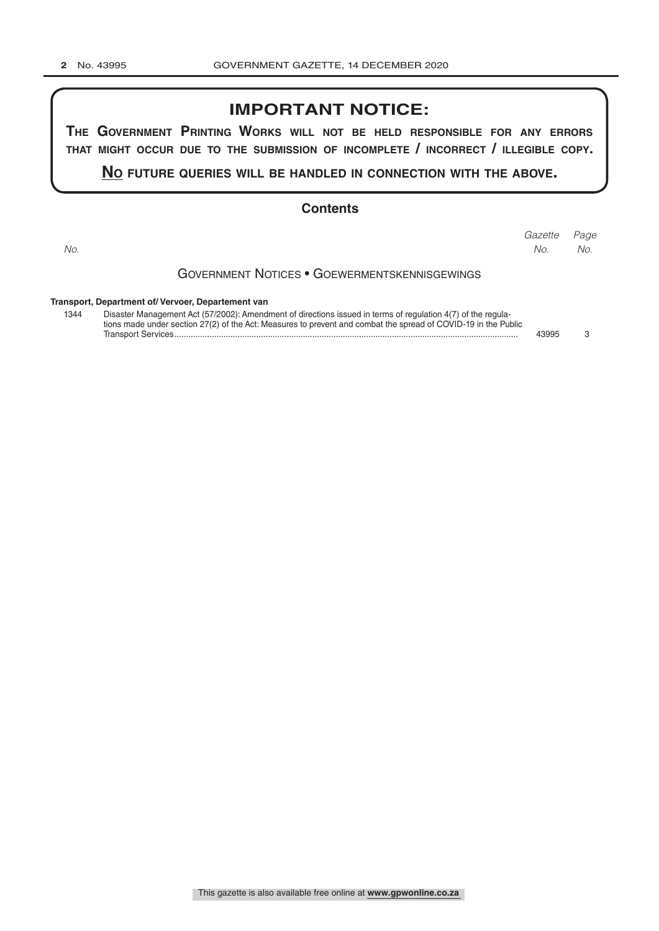### **IMPORTANT NOTICE:**

**The GovernmenT PrinTinG Works Will noT be held resPonsible for any errors ThaT miGhT occur due To The submission of incomPleTe / incorrecT / illeGible coPy.**

**no fuTure queries Will be handled in connecTion WiTh The above.**

#### **Contents**

Government Notices • Goewermentskennisgewings **Transport, Department of/ Vervoer, Departement van** 1344 Disaster Management Act (57/2002): Amendment of directions issued in terms of regulation 4(7) of the regula-<br>1344 Disaster Management Act (57/2002): Amendment of directions issued in terms of regulation 4(7) of the Pu *Page Gazette No. No. No.*

| 1044 | Disaster Management Act (57/2002). Amendment or directions issued in terms or regulation 4(7) or the regula-   |  |  |
|------|----------------------------------------------------------------------------------------------------------------|--|--|
|      | tions made under section 27(2) of the Act: Measures to prevent and combat the spread of COVID-19 in the Public |  |  |

| ransn |  |
|-------|--|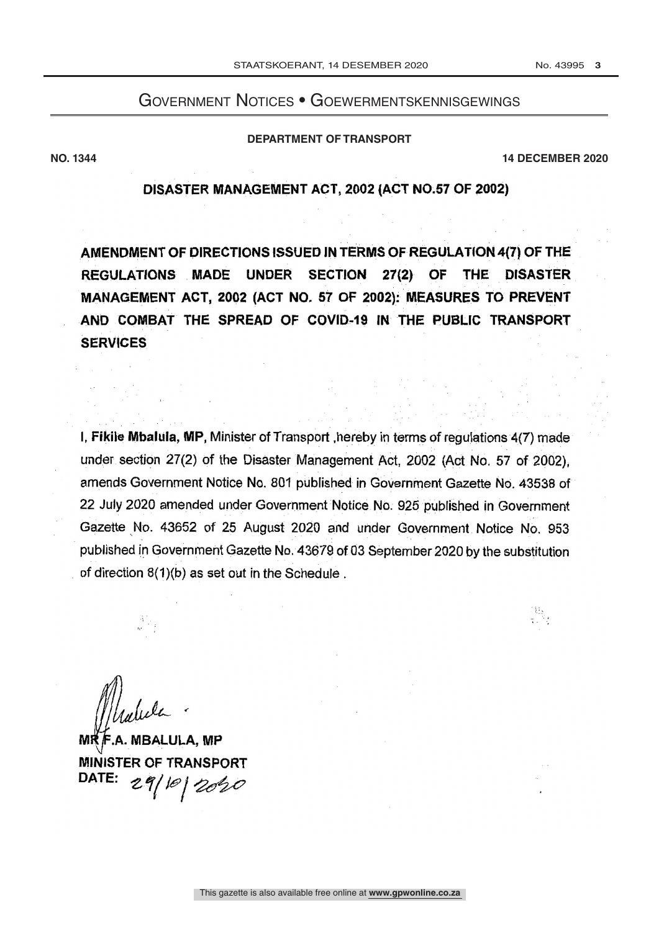## GOVERNMENT NOTICES • GOEWERMENTSKENNISGEWINGS

**DEPARTMENT OF TRANSPORT**

**NO. 1344 14 DECEMBER 2020**

 $\mathbb{R}_3$ 

#### DISASTER MANAGEMENT ACT, 2002 (ACT NO.57 OF 2002)

AMENDMENT OF DIRECTIONS ISSUED IN TERMS OF REGULATION 4(7) OF THE REGULATIONS MADE UNDER SECTION 27(2) OF MANAGEMENT ACT, 2002 (ACT NO. 57 OF 2002): MEASURES TO PREVENT AND COMBAT THE SPREAD OF COVID -19 IN THE PUBLIC TRANSPORT SERVICES

I, Fikile Mbalula, MP, Minister of Transport ,hereby in terms of regulations 4(7) made under section 27(2) of the Disaster Management Act, 2002 (Act No. 57 of 2002), amends Government Notice No. 801 published in Government Gazette No. 43538 of 22 July 2020 amended under Government Notice No. 925 published in Government Gazette No. 43652 of 25 August 2020 and under Government Notice No. 953 published in Government Gazette No 43679 of 03 September 2020 by the substitution of direction 8(1)(b) as set out in the Schedule .

A. MBALULA, MP MINISTER OF TRANSPORT<br>DATE: 20101010 DATE:  $29/101$  notic  $\mathbf{i}$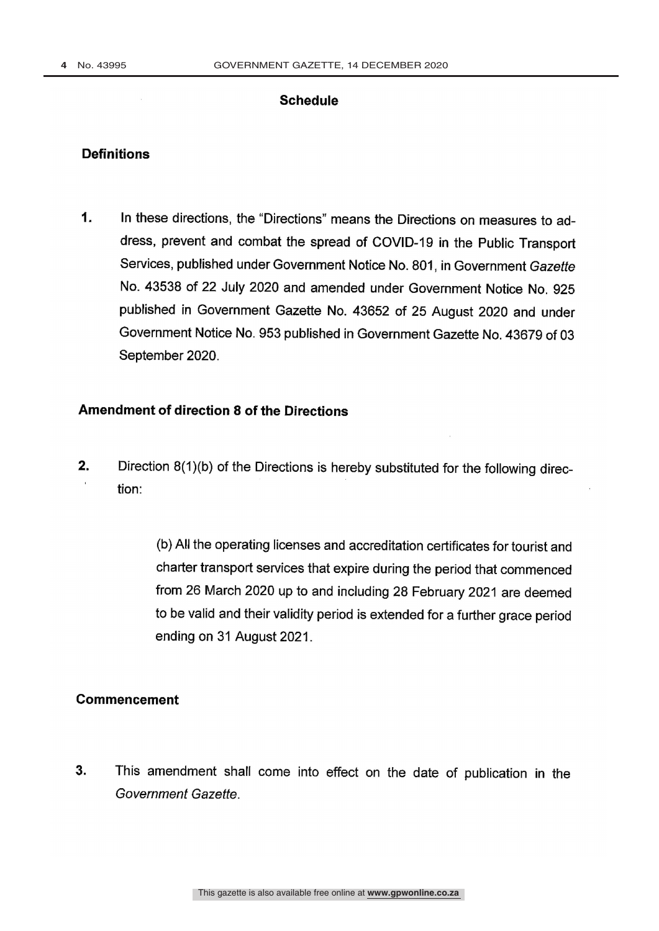#### **Schedule**

#### **Definitions**

1. In these directions, the "Directions" means the Directions on measures to address, prevent and combat the spread of COVID -19 in the Public Transport Services, published under Government Notice No. 801, in Government Gazette No. 43538 of 22 July 2020 and amended under Government Notice No. 925 published in Government Gazette No. 43652 of 25 August 2020 and under Government Notice No. 953 published in Government Gazette No. 43679 of 03 September 2020.

#### Amendment of direction 8 of the Directions

2. Direction  $8(1)(b)$  of the Directions is hereby substituted for the following direction:

> (b) All the operating licenses and accreditation certificates for tourist and charter transport services that expire during the period that commenced from 26 March 2020 up to and including 28 February 2021 are deemed to be valid and their validity period is extended for a further grace period ending on 31 August 2021.

#### Commencement

3. This amendment shall come into effect on the date of publication in the Government Gazette.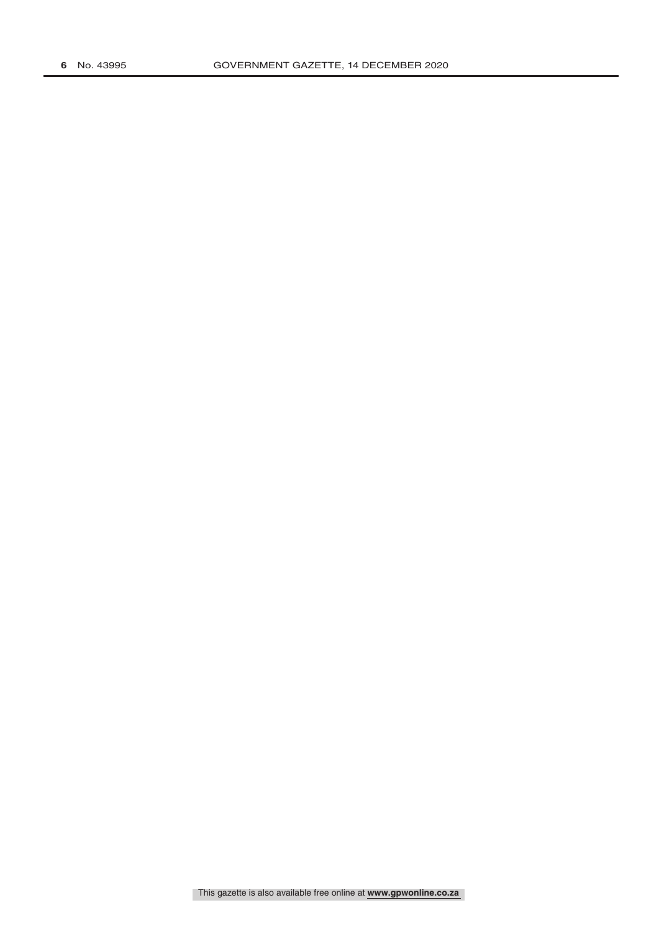This gazette is also available free online at **www.gpwonline.co.za**